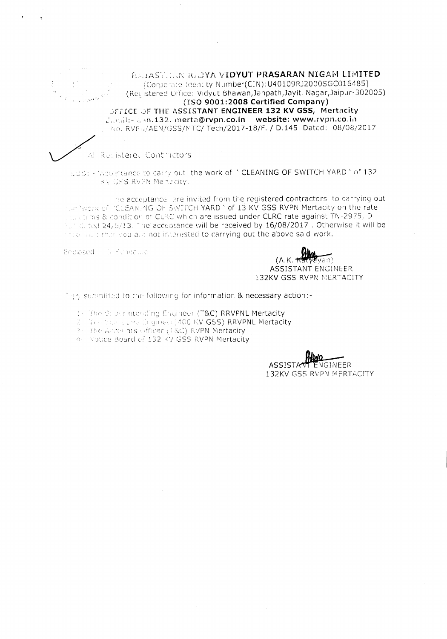**EAJAST. IAN RAJYA VIDYUT PRASARAN NIGAM LIMITED** [Corporate Identity Number(CIN):U40109RJ2000SGC016485] (Recistered Office: Vidyut Bhawan, Janpath, Jayiti Nagar, Jaipur-302005) (ISO 9001:2008 Certified Company) OFFICE OF THE ASSISTANT ENGINEER 132 KV GSS, Mertacity Email:- agn.132. merta@rvpn.co.in website: www.rvpn.co.in No. RVPH/AEN/GSS/MTC/ Tech/2017-18/F. / D.145 Dated: 08/08/2017

## All Recistered Contractors

SUB: - 'Acceptance to carry out the work of " CLEANING OF SWITCH YARD " of 132 KV GSS RVPN Mertacity.

the acceptance are invited from the registered contractors to carrying out the Yapra of PCLEANING OF SWITCH YARD Yof 13 KV GSS RVPN Mertacity on the rate th errors & condition of CLRC which are issued under CLRC rate against TN-2975, D of dated 24/5/13. The acceptance will be received by 16/08/2017 . Otherwise it will be ensement that you are not interested to carrying out the above said work.

Enclosed J. Bunedwa

**Blog** van)  $(A.K.$ **ASSISTANT ENGINEER** 132KV GSS RVPN MERTACITY

Cert submitted to the following for information & necessary action:-

1- The Superintending Engineer (T&C) RRVPNL Mertacity

2 To a Substative Engineer (400 KV GSS) RRVPNL Mertacity

3- The Accounts (efficer (18C) RVPN Mertacity

4. Notice Board of 132 KV GSS RVPN Mertacity

ÑGINEER **ASSISTA** 132KV GSS RVPN MERTACITY